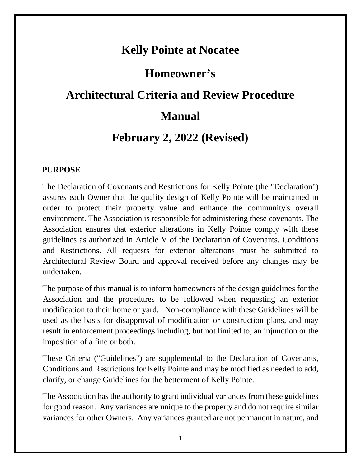## **Kelly Pointe at Nocatee**

## **Homeowner's**

# **Architectural Criteria and Review Procedure**

## **Manual**

## **February 2, 2022 (Revised)**

## **PURPOSE**

The Declaration of Covenants and Restrictions for Kelly Pointe (the "Declaration") assures each Owner that the quality design of Kelly Pointe will be maintained in order to protect their property value and enhance the community's overall environment. The Association is responsible for administering these covenants. The Association ensures that exterior alterations in Kelly Pointe comply with these guidelines as authorized in Article V of the Declaration of Covenants, Conditions and Restrictions. All requests for exterior alterations must be submitted to Architectural Review Board and approval received before any changes may be undertaken.

The purpose of this manual is to inform homeowners of the design guidelines for the Association and the procedures to be followed when requesting an exterior modification to their home or yard. Non-compliance with these Guidelines will be used as the basis for disapproval of modification or construction plans, and may result in enforcement proceedings including, but not limited to, an injunction or the imposition of a fine or both.

These Criteria ("Guidelines") are supplemental to the Declaration of Covenants, Conditions and Restrictions for Kelly Pointe and may be modified as needed to add, clarify, or change Guidelines for the betterment of Kelly Pointe.

The Association has the authority to grant individual variances from these guidelines for good reason. Any variances are unique to the property and do not require similar variances for other Owners. Any variances granted are not permanent in nature, and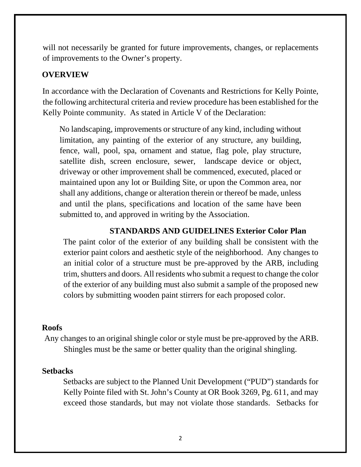will not necessarily be granted for future improvements, changes, or replacements of improvements to the Owner's property.

#### **OVERVIEW**

In accordance with the Declaration of Covenants and Restrictions for Kelly Pointe, the following architectural criteria and review procedure has been established for the Kelly Pointe community. As stated in Article V of the Declaration:

No landscaping, improvements or structure of any kind, including without limitation, any painting of the exterior of any structure, any building, fence, wall, pool, spa, ornament and statue, flag pole, play structure, satellite dish, screen enclosure, sewer, landscape device or object, driveway or other improvement shall be commenced, executed, placed or maintained upon any lot or Building Site, or upon the Common area, nor shall any additions, change or alteration therein or thereof be made, unless and until the plans, specifications and location of the same have been submitted to, and approved in writing by the Association.

#### **STANDARDS AND GUIDELINES Exterior Color Plan**

The paint color of the exterior of any building shall be consistent with the exterior paint colors and aesthetic style of the neighborhood. Any changes to an initial color of a structure must be pre-approved by the ARB, including trim, shutters and doors. All residents who submit a request to change the color of the exterior of any building must also submit a sample of the proposed new colors by submitting wooden paint stirrers for each proposed color.

#### **Roofs**

Any changes to an original shingle color or style must be pre-approved by the ARB. Shingles must be the same or better quality than the original shingling.

#### **Setbacks**

Setbacks are subject to the Planned Unit Development ("PUD") standards for Kelly Pointe filed with St. John's County at OR Book 3269, Pg. 611, and may exceed those standards, but may not violate those standards. Setbacks for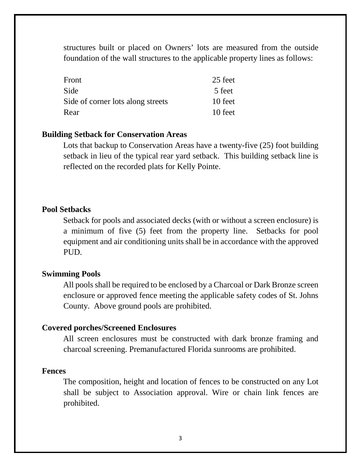structures built or placed on Owners' lots are measured from the outside foundation of the wall structures to the applicable property lines as follows:

| Front                             | 25 feet |
|-----------------------------------|---------|
| Side                              | 5 feet  |
| Side of corner lots along streets | 10 feet |
| Rear                              | 10 feet |

#### **Building Setback for Conservation Areas**

Lots that backup to Conservation Areas have a twenty-five (25) foot building setback in lieu of the typical rear yard setback. This building setback line is reflected on the recorded plats for Kelly Pointe.

#### **Pool Setbacks**

Setback for pools and associated decks (with or without a screen enclosure) is a minimum of five (5) feet from the property line. Setbacks for pool equipment and air conditioning units shall be in accordance with the approved PUD.

### **Swimming Pools**

All pools shall be required to be enclosed by a Charcoal or Dark Bronze screen enclosure or approved fence meeting the applicable safety codes of St. Johns County. Above ground pools are prohibited.

#### **Covered porches/Screened Enclosures**

All screen enclosures must be constructed with dark bronze framing and charcoal screening. Premanufactured Florida sunrooms are prohibited.

#### **Fences**

The composition, height and location of fences to be constructed on any Lot shall be subject to Association approval. Wire or chain link fences are prohibited.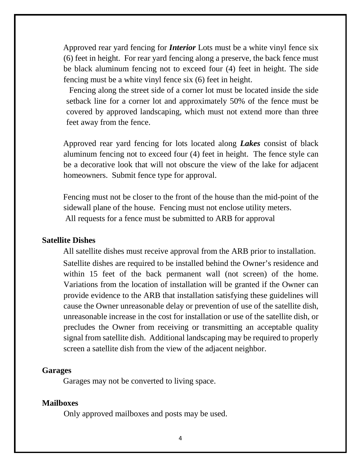Approved rear yard fencing for *Interior* Lots must be a white vinyl fence six (6) feet in height. For rear yard fencing along a preserve, the back fence must be black aluminum fencing not to exceed four (4) feet in height. The side fencing must be a white vinyl fence six (6) feet in height.

Fencing along the street side of a corner lot must be located inside the side setback line for a corner lot and approximately 50% of the fence must be covered by approved landscaping, which must not extend more than three feet away from the fence.

Approved rear yard fencing for lots located along *Lakes* consist of black aluminum fencing not to exceed four (4) feet in height. The fence style can be a decorative look that will not obscure the view of the lake for adjacent homeowners. Submit fence type for approval.

Fencing must not be closer to the front of the house than the mid-point of the sidewall plane of the house. Fencing must not enclose utility meters. All requests for a fence must be submitted to ARB for approval

#### **Satellite Dishes**

All satellite dishes must receive approval from the ARB prior to installation.

Satellite dishes are required to be installed behind the Owner's residence and within 15 feet of the back permanent wall (not screen) of the home. Variations from the location of installation will be granted if the Owner can provide evidence to the ARB that installation satisfying these guidelines will cause the Owner unreasonable delay or prevention of use of the satellite dish, unreasonable increase in the cost for installation or use of the satellite dish, or precludes the Owner from receiving or transmitting an acceptable quality signal from satellite dish. Additional landscaping may be required to properly screen a satellite dish from the view of the adjacent neighbor.

#### **Garages**

Garages may not be converted to living space.

### **Mailboxes**

Only approved mailboxes and posts may be used.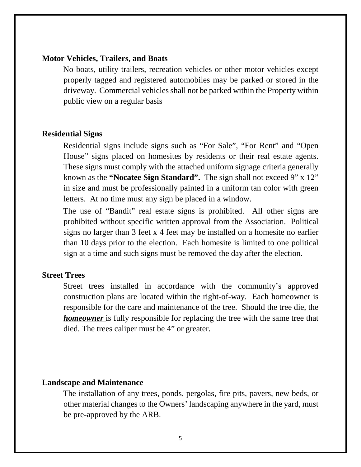#### **Motor Vehicles, Trailers, and Boats**

No boats, utility trailers, recreation vehicles or other motor vehicles except properly tagged and registered automobiles may be parked or stored in the driveway. Commercial vehicles shall not be parked within the Property within public view on a regular basis

#### **Residential Signs**

Residential signs include signs such as "For Sale", "For Rent" and "Open House" signs placed on homesites by residents or their real estate agents. These signs must comply with the attached uniform signage criteria generally known as the **"Nocatee Sign Standard".** The sign shall not exceed 9" x 12" in size and must be professionally painted in a uniform tan color with green letters. At no time must any sign be placed in a window.

The use of "Bandit" real estate signs is prohibited. All other signs are prohibited without specific written approval from the Association. Political signs no larger than 3 feet x 4 feet may be installed on a homesite no earlier than 10 days prior to the election. Each homesite is limited to one political sign at a time and such signs must be removed the day after the election.

#### **Street Trees**

Street trees installed in accordance with the community's approved construction plans are located within the right-of-way. Each homeowner is responsible for the care and maintenance of the tree. Should the tree die, the *homeowner* is fully responsible for replacing the tree with the same tree that died. The trees caliper must be 4" or greater.

#### **Landscape and Maintenance**

The installation of any trees, ponds, pergolas, fire pits, pavers, new beds, or other material changes to the Owners' landscaping anywhere in the yard, must be pre-approved by the ARB.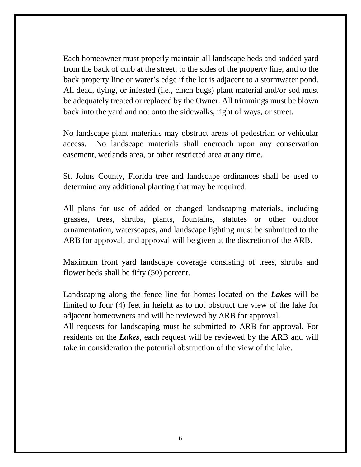Each homeowner must properly maintain all landscape beds and sodded yard from the back of curb at the street, to the sides of the property line, and to the back property line or water's edge if the lot is adjacent to a stormwater pond. All dead, dying, or infested (i.e., cinch bugs) plant material and/or sod must be adequately treated or replaced by the Owner. All trimmings must be blown back into the yard and not onto the sidewalks, right of ways, or street.

No landscape plant materials may obstruct areas of pedestrian or vehicular access. No landscape materials shall encroach upon any conservation easement, wetlands area, or other restricted area at any time.

St. Johns County, Florida tree and landscape ordinances shall be used to determine any additional planting that may be required.

All plans for use of added or changed landscaping materials, including grasses, trees, shrubs, plants, fountains, statutes or other outdoor ornamentation, waterscapes, and landscape lighting must be submitted to the ARB for approval, and approval will be given at the discretion of the ARB.

Maximum front yard landscape coverage consisting of trees, shrubs and flower beds shall be fifty (50) percent.

Landscaping along the fence line for homes located on the *Lakes* will be limited to four (4) feet in height as to not obstruct the view of the lake for adjacent homeowners and will be reviewed by ARB for approval.

All requests for landscaping must be submitted to ARB for approval. For residents on the *Lakes*, each request will be reviewed by the ARB and will take in consideration the potential obstruction of the view of the lake.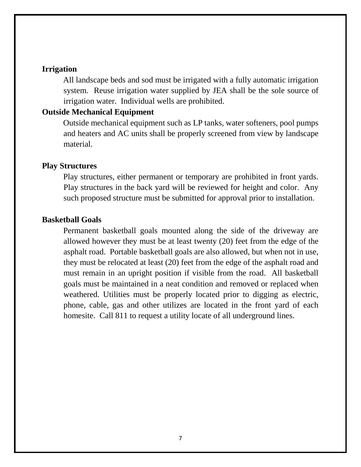### **Irrigation**

All landscape beds and sod must be irrigated with a fully automatic irrigation system. Reuse irrigation water supplied by JEA shall be the sole source of irrigation water. Individual wells are prohibited.

### **Outside Mechanical Equipment**

Outside mechanical equipment such as LP tanks, water softeners, pool pumps and heaters and AC units shall be properly screened from view by landscape material.

### **Play Structures**

Play structures, either permanent or temporary are prohibited in front yards. Play structures in the back yard will be reviewed for height and color. Any such proposed structure must be submitted for approval prior to installation.

#### **Basketball Goals**

Permanent basketball goals mounted along the side of the driveway are allowed however they must be at least twenty (20) feet from the edge of the asphalt road. Portable basketball goals are also allowed, but when not in use, they must be relocated at least (20) feet from the edge of the asphalt road and must remain in an upright position if visible from the road. All basketball goals must be maintained in a neat condition and removed or replaced when weathered. Utilities must be properly located prior to digging as electric, phone, cable, gas and other utilizes are located in the front yard of each homesite. Call 811 to request a utility locate of all underground lines.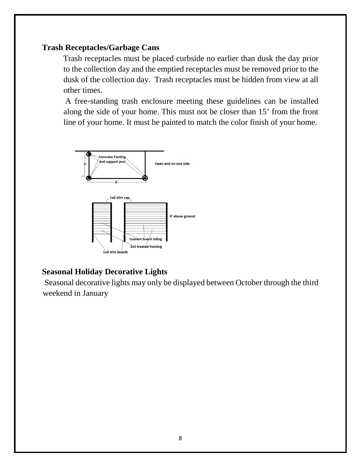### **Trash Receptacles/Garbage Cans**

Trash receptacles must be placed curbside no earlier than dusk the day prior to the collection day and the emptied receptacles must be removed prior to the dusk of the collection day. Trash receptacles must be hidden from view at all other times.

A free-standing trash enclosure meeting these guidelines can be installed along the side of your home. This must not be closer than 15' from the front line of your home. It must be painted to match the color finish of your home.



## **Seasonal Holiday Decorative Lights**

Seasonal decorative lights may only be displayed between October through the third weekend in January